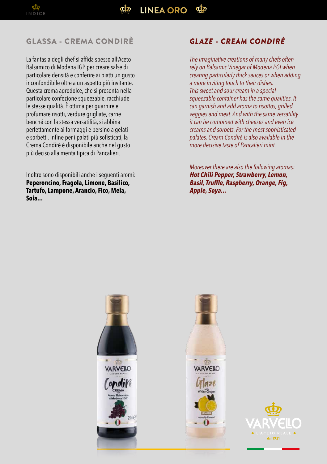## GLASSA - CREMA CONDIRÈ *GLAZE - CREAM CONDIRÈ*

La fantasia degli chef si affida spesso all'Aceto Balsamico di Modena IGP per creare salse di particolare densità e conferire ai piatti un gusto inconfondibile oltre a un aspetto più invitante. Questa crema agrodolce, che si presenta nella particolare confezione squeezable, racchiude le stesse qualità. È ottima per guarnire e profumare risotti, verdure grigliate, carne benché con la stessa versatilità, si abbina perfettamente ai formaggi e persino a gelati e sorbetti. Infine per i palati più sofisticati, la Crema Condirè è disponibile anche nel gusto più deciso alla menta tipica di Pancalieri.

Inoltre sono disponibili anche i seguenti aromi: **Peperoncino, Fragola, Limone, Basilico, Tartufo, Lampone, Arancio, Fico, Mela, Soia...**

*The imaginative creations of many chefs often rely on Balsamic Vinegar of Modena PGI when creating particularly thick sauces or when adding a more inviting touch to their dishes. This sweet and sour cream in a special squeezable container has the same qualities. It can garnish and add aroma to risottos, grilled veggies and meat. And with the same versatility it can be combined with cheeses and even ice creams and sorbets. For the most sophisticated palates, Cream Condirè is also available in the more decisive taste of Pancalieri mint.*

*Moreover there are also the following aromas:* **Hot Chili Pepper, Strawberry, Lemon, Basil, Truffle, Raspberry, Orange, Fig, Apple, Soya...**